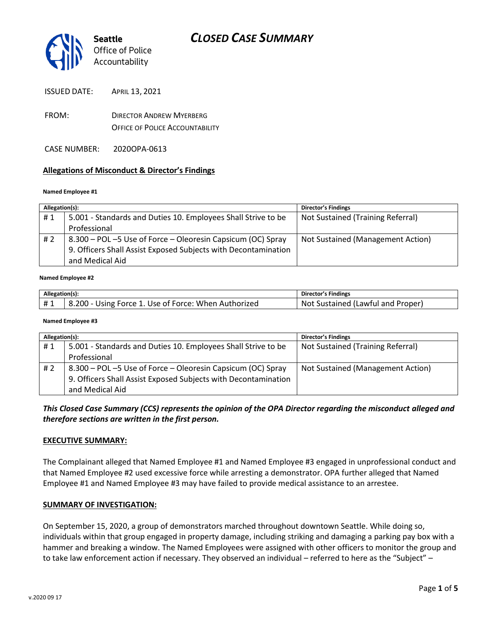

ISSUED DATE: APRIL 13, 2021

- FROM: DIRECTOR ANDREW MYERBERG OFFICE OF POLICE ACCOUNTABILITY
- CASE NUMBER: 2020OPA-0613

### **Allegations of Misconduct & Director's Findings**

#### **Named Employee #1**

| Allegation(s): |                                                                | <b>Director's Findings</b>        |
|----------------|----------------------------------------------------------------|-----------------------------------|
| #1             | 5.001 - Standards and Duties 10. Employees Shall Strive to be  | Not Sustained (Training Referral) |
|                | Professional                                                   |                                   |
| # 2            | 8.300 – POL –5 Use of Force – Oleoresin Capsicum (OC) Spray    | Not Sustained (Management Action) |
|                | 9. Officers Shall Assist Exposed Subjects with Decontamination |                                   |
|                | and Medical Aid                                                |                                   |
|                |                                                                |                                   |

#### **Named Employee #2**

| Allegation(s): |                                                      | Director's Findings                     |
|----------------|------------------------------------------------------|-----------------------------------------|
|                | B.200 - Using Force 1. Use of Force: When Authorized | c Sustained (Lawful and Proper)<br>.Not |

#### **Named Employee #3**

| Allegation(s): |                                                                | <b>Director's Findings</b>        |
|----------------|----------------------------------------------------------------|-----------------------------------|
| #1             | 5.001 - Standards and Duties 10. Employees Shall Strive to be  | Not Sustained (Training Referral) |
|                | Professional                                                   |                                   |
| #2             | 8.300 – POL –5 Use of Force – Oleoresin Capsicum (OC) Spray    | Not Sustained (Management Action) |
|                | 9. Officers Shall Assist Exposed Subjects with Decontamination |                                   |
|                | and Medical Aid                                                |                                   |

*This Closed Case Summary (CCS) represents the opinion of the OPA Director regarding the misconduct alleged and therefore sections are written in the first person.* 

#### **EXECUTIVE SUMMARY:**

The Complainant alleged that Named Employee #1 and Named Employee #3 engaged in unprofessional conduct and that Named Employee #2 used excessive force while arresting a demonstrator. OPA further alleged that Named Employee #1 and Named Employee #3 may have failed to provide medical assistance to an arrestee.

#### **SUMMARY OF INVESTIGATION:**

On September 15, 2020, a group of demonstrators marched throughout downtown Seattle. While doing so, individuals within that group engaged in property damage, including striking and damaging a parking pay box with a hammer and breaking a window. The Named Employees were assigned with other officers to monitor the group and to take law enforcement action if necessary. They observed an individual – referred to here as the "Subject" –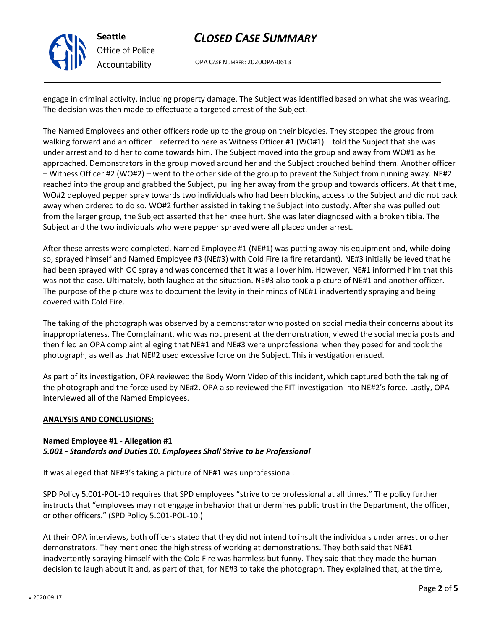

# *CLOSED CASE SUMMARY*

OPA CASE NUMBER: 2020OPA-0613

engage in criminal activity, including property damage. The Subject was identified based on what she was wearing. The decision was then made to effectuate a targeted arrest of the Subject.

The Named Employees and other officers rode up to the group on their bicycles. They stopped the group from walking forward and an officer – referred to here as Witness Officer #1 (WO#1) – told the Subject that she was under arrest and told her to come towards him. The Subject moved into the group and away from WO#1 as he approached. Demonstrators in the group moved around her and the Subject crouched behind them. Another officer – Witness Officer #2 (WO#2) – went to the other side of the group to prevent the Subject from running away. NE#2 reached into the group and grabbed the Subject, pulling her away from the group and towards officers. At that time, WO#2 deployed pepper spray towards two individuals who had been blocking access to the Subject and did not back away when ordered to do so. WO#2 further assisted in taking the Subject into custody. After she was pulled out from the larger group, the Subject asserted that her knee hurt. She was later diagnosed with a broken tibia. The Subject and the two individuals who were pepper sprayed were all placed under arrest.

After these arrests were completed, Named Employee #1 (NE#1) was putting away his equipment and, while doing so, sprayed himself and Named Employee #3 (NE#3) with Cold Fire (a fire retardant). NE#3 initially believed that he had been sprayed with OC spray and was concerned that it was all over him. However, NE#1 informed him that this was not the case. Ultimately, both laughed at the situation. NE#3 also took a picture of NE#1 and another officer. The purpose of the picture was to document the levity in their minds of NE#1 inadvertently spraying and being covered with Cold Fire.

The taking of the photograph was observed by a demonstrator who posted on social media their concerns about its inappropriateness. The Complainant, who was not present at the demonstration, viewed the social media posts and then filed an OPA complaint alleging that NE#1 and NE#3 were unprofessional when they posed for and took the photograph, as well as that NE#2 used excessive force on the Subject. This investigation ensued.

As part of its investigation, OPA reviewed the Body Worn Video of this incident, which captured both the taking of the photograph and the force used by NE#2. OPA also reviewed the FIT investigation into NE#2's force. Lastly, OPA interviewed all of the Named Employees.

### **ANALYSIS AND CONCLUSIONS:**

## **Named Employee #1 - Allegation #1** *5.001 - Standards and Duties 10. Employees Shall Strive to be Professional*

It was alleged that NE#3's taking a picture of NE#1 was unprofessional.

SPD Policy 5.001-POL-10 requires that SPD employees "strive to be professional at all times." The policy further instructs that "employees may not engage in behavior that undermines public trust in the Department, the officer, or other officers." (SPD Policy 5.001-POL-10.)

At their OPA interviews, both officers stated that they did not intend to insult the individuals under arrest or other demonstrators. They mentioned the high stress of working at demonstrations. They both said that NE#1 inadvertently spraying himself with the Cold Fire was harmless but funny. They said that they made the human decision to laugh about it and, as part of that, for NE#3 to take the photograph. They explained that, at the time,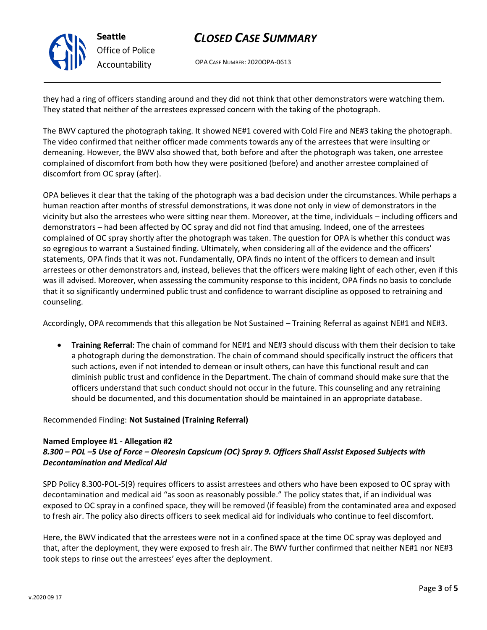**Seattle** *Office of Police Accountability*

# *CLOSED CASE SUMMARY*

OPA CASE NUMBER: 2020OPA-0613

they had a ring of officers standing around and they did not think that other demonstrators were watching them. They stated that neither of the arrestees expressed concern with the taking of the photograph.

The BWV captured the photograph taking. It showed NE#1 covered with Cold Fire and NE#3 taking the photograph. The video confirmed that neither officer made comments towards any of the arrestees that were insulting or demeaning. However, the BWV also showed that, both before and after the photograph was taken, one arrestee complained of discomfort from both how they were positioned (before) and another arrestee complained of discomfort from OC spray (after).

OPA believes it clear that the taking of the photograph was a bad decision under the circumstances. While perhaps a human reaction after months of stressful demonstrations, it was done not only in view of demonstrators in the vicinity but also the arrestees who were sitting near them. Moreover, at the time, individuals – including officers and demonstrators – had been affected by OC spray and did not find that amusing. Indeed, one of the arrestees complained of OC spray shortly after the photograph was taken. The question for OPA is whether this conduct was so egregious to warrant a Sustained finding. Ultimately, when considering all of the evidence and the officers' statements, OPA finds that it was not. Fundamentally, OPA finds no intent of the officers to demean and insult arrestees or other demonstrators and, instead, believes that the officers were making light of each other, even if this was ill advised. Moreover, when assessing the community response to this incident, OPA finds no basis to conclude that it so significantly undermined public trust and confidence to warrant discipline as opposed to retraining and counseling.

Accordingly, OPA recommends that this allegation be Not Sustained – Training Referral as against NE#1 and NE#3.

• **Training Referral**: The chain of command for NE#1 and NE#3 should discuss with them their decision to take a photograph during the demonstration. The chain of command should specifically instruct the officers that such actions, even if not intended to demean or insult others, can have this functional result and can diminish public trust and confidence in the Department. The chain of command should make sure that the officers understand that such conduct should not occur in the future. This counseling and any retraining should be documented, and this documentation should be maintained in an appropriate database.

## Recommended Finding: **Not Sustained (Training Referral)**

### **Named Employee #1 - Allegation #2**

# *8.300 – POL –5 Use of Force – Oleoresin Capsicum (OC) Spray 9. Officers Shall Assist Exposed Subjects with Decontamination and Medical Aid*

SPD Policy 8.300-POL-5(9) requires officers to assist arrestees and others who have been exposed to OC spray with decontamination and medical aid "as soon as reasonably possible." The policy states that, if an individual was exposed to OC spray in a confined space, they will be removed (if feasible) from the contaminated area and exposed to fresh air. The policy also directs officers to seek medical aid for individuals who continue to feel discomfort.

Here, the BWV indicated that the arrestees were not in a confined space at the time OC spray was deployed and that, after the deployment, they were exposed to fresh air. The BWV further confirmed that neither NE#1 nor NE#3 took steps to rinse out the arrestees' eyes after the deployment.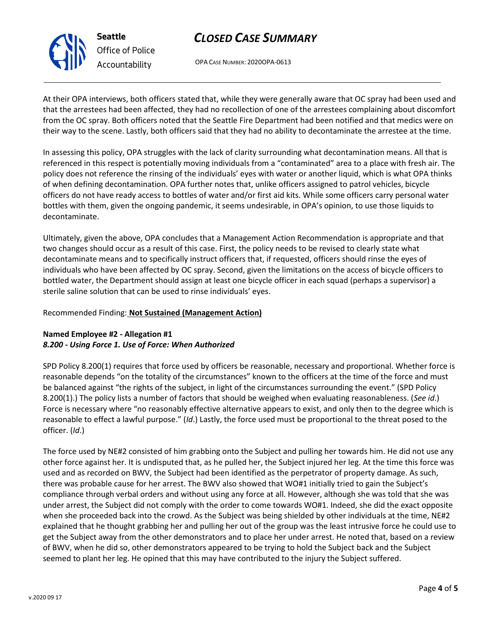

**Seattle** *Office of Police Accountability*

# *CLOSED CASE SUMMARY*

OPA CASE NUMBER: 2020OPA-0613

At their OPA interviews, both officers stated that, while they were generally aware that OC spray had been used and that the arrestees had been affected, they had no recollection of one of the arrestees complaining about discomfort from the OC spray. Both officers noted that the Seattle Fire Department had been notified and that medics were on their way to the scene. Lastly, both officers said that they had no ability to decontaminate the arrestee at the time.

In assessing this policy, OPA struggles with the lack of clarity surrounding what decontamination means. All that is referenced in this respect is potentially moving individuals from a "contaminated" area to a place with fresh air. The policy does not reference the rinsing of the individuals' eyes with water or another liquid, which is what OPA thinks of when defining decontamination. OPA further notes that, unlike officers assigned to patrol vehicles, bicycle officers do not have ready access to bottles of water and/or first aid kits. While some officers carry personal water bottles with them, given the ongoing pandemic, it seems undesirable, in OPA's opinion, to use those liquids to decontaminate.

Ultimately, given the above, OPA concludes that a Management Action Recommendation is appropriate and that two changes should occur as a result of this case. First, the policy needs to be revised to clearly state what decontaminate means and to specifically instruct officers that, if requested, officers should rinse the eyes of individuals who have been affected by OC spray. Second, given the limitations on the access of bicycle officers to bottled water, the Department should assign at least one bicycle officer in each squad (perhaps a supervisor) a sterile saline solution that can be used to rinse individuals' eyes.

## Recommended Finding: **Not Sustained (Management Action)**

## **Named Employee #2 - Allegation #1** *8.200 - Using Force 1. Use of Force: When Authorized*

SPD Policy 8.200(1) requires that force used by officers be reasonable, necessary and proportional. Whether force is reasonable depends "on the totality of the circumstances" known to the officers at the time of the force and must be balanced against "the rights of the subject, in light of the circumstances surrounding the event." (SPD Policy 8.200(1).) The policy lists a number of factors that should be weighed when evaluating reasonableness. (*See id*.) Force is necessary where "no reasonably effective alternative appears to exist, and only then to the degree which is reasonable to effect a lawful purpose." (*Id*.) Lastly, the force used must be proportional to the threat posed to the officer. (*Id*.)

The force used by NE#2 consisted of him grabbing onto the Subject and pulling her towards him. He did not use any other force against her. It is undisputed that, as he pulled her, the Subject injured her leg. At the time this force was used and as recorded on BWV, the Subject had been identified as the perpetrator of property damage. As such, there was probable cause for her arrest. The BWV also showed that WO#1 initially tried to gain the Subject's compliance through verbal orders and without using any force at all. However, although she was told that she was under arrest, the Subject did not comply with the order to come towards WO#1. Indeed, she did the exact opposite when she proceeded back into the crowd. As the Subject was being shielded by other individuals at the time, NE#2 explained that he thought grabbing her and pulling her out of the group was the least intrusive force he could use to get the Subject away from the other demonstrators and to place her under arrest. He noted that, based on a review of BWV, when he did so, other demonstrators appeared to be trying to hold the Subject back and the Subject seemed to plant her leg. He opined that this may have contributed to the injury the Subject suffered.